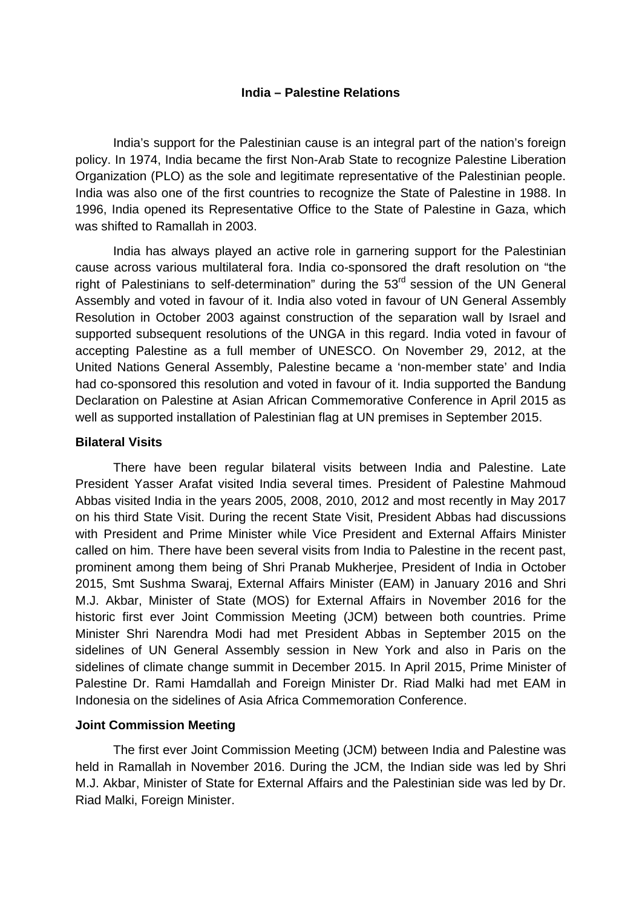## **India – Palestine Relations**

India's support for the Palestinian cause is an integral part of the nation's foreign policy. In 1974, India became the first Non-Arab State to recognize Palestine Liberation Organization (PLO) as the sole and legitimate representative of the Palestinian people. India was also one of the first countries to recognize the State of Palestine in 1988. In 1996, India opened its Representative Office to the State of Palestine in Gaza, which was shifted to Ramallah in 2003.

India has always played an active role in garnering support for the Palestinian cause across various multilateral fora. India co-sponsored the draft resolution on "the right of Palestinians to self-determination" during the  $53<sup>rd</sup>$  session of the UN General Assembly and voted in favour of it. India also voted in favour of UN General Assembly Resolution in October 2003 against construction of the separation wall by Israel and supported subsequent resolutions of the UNGA in this regard. India voted in favour of accepting Palestine as a full member of UNESCO. On November 29, 2012, at the United Nations General Assembly, Palestine became a 'non-member state' and India had co-sponsored this resolution and voted in favour of it. India supported the Bandung Declaration on Palestine at Asian African Commemorative Conference in April 2015 as well as supported installation of Palestinian flag at UN premises in September 2015.

#### **Bilateral Visits**

There have been regular bilateral visits between India and Palestine. Late President Yasser Arafat visited India several times. President of Palestine Mahmoud Abbas visited India in the years 2005, 2008, 2010, 2012 and most recently in May 2017 on his third State Visit. During the recent State Visit, President Abbas had discussions with President and Prime Minister while Vice President and External Affairs Minister called on him. There have been several visits from India to Palestine in the recent past, prominent among them being of Shri Pranab Mukherjee, President of India in October 2015, Smt Sushma Swaraj, External Affairs Minister (EAM) in January 2016 and Shri M.J. Akbar, Minister of State (MOS) for External Affairs in November 2016 for the historic first ever Joint Commission Meeting (JCM) between both countries. Prime Minister Shri Narendra Modi had met President Abbas in September 2015 on the sidelines of UN General Assembly session in New York and also in Paris on the sidelines of climate change summit in December 2015. In April 2015, Prime Minister of Palestine Dr. Rami Hamdallah and Foreign Minister Dr. Riad Malki had met EAM in Indonesia on the sidelines of Asia Africa Commemoration Conference.

### **Joint Commission Meeting**

The first ever Joint Commission Meeting (JCM) between India and Palestine was held in Ramallah in November 2016. During the JCM, the Indian side was led by Shri M.J. Akbar, Minister of State for External Affairs and the Palestinian side was led by Dr. Riad Malki, Foreign Minister.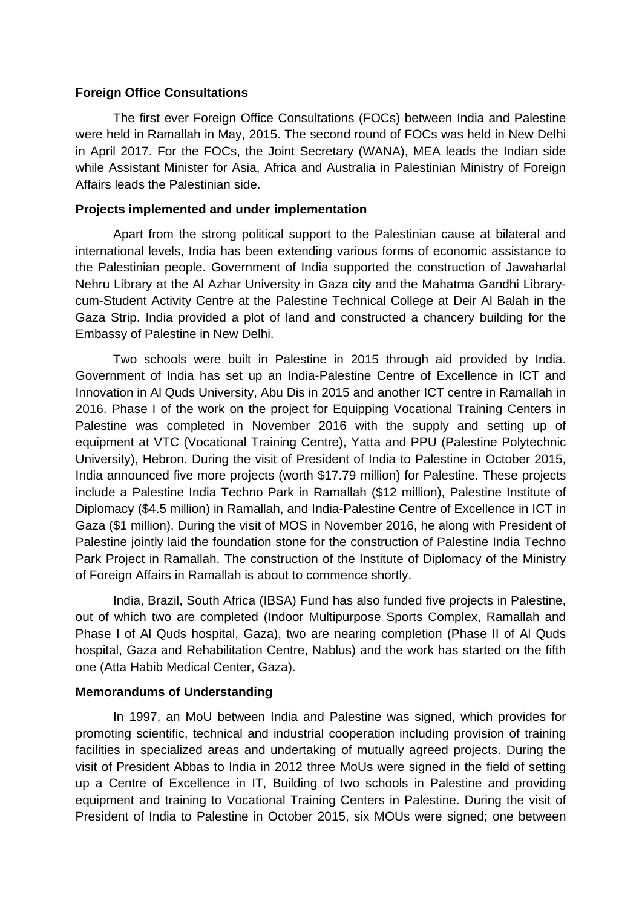### **Foreign Office Consultations**

The first ever Foreign Office Consultations (FOCs) between India and Palestine were held in Ramallah in May, 2015. The second round of FOCs was held in New Delhi in April 2017. For the FOCs, the Joint Secretary (WANA), MEA leads the Indian side while Assistant Minister for Asia, Africa and Australia in Palestinian Ministry of Foreign Affairs leads the Palestinian side.

### **Projects implemented and under implementation**

Apart from the strong political support to the Palestinian cause at bilateral and international levels, India has been extending various forms of economic assistance to the Palestinian people. Government of India supported the construction of Jawaharlal Nehru Library at the Al Azhar University in Gaza city and the Mahatma Gandhi Librarycum-Student Activity Centre at the Palestine Technical College at Deir Al Balah in the Gaza Strip. India provided a plot of land and constructed a chancery building for the Embassy of Palestine in New Delhi.

Two schools were built in Palestine in 2015 through aid provided by India. Government of India has set up an India-Palestine Centre of Excellence in ICT and Innovation in Al Quds University, Abu Dis in 2015 and another ICT centre in Ramallah in 2016. Phase I of the work on the project for Equipping Vocational Training Centers in Palestine was completed in November 2016 with the supply and setting up of equipment at VTC (Vocational Training Centre), Yatta and PPU (Palestine Polytechnic University), Hebron. During the visit of President of India to Palestine in October 2015, India announced five more projects (worth \$17.79 million) for Palestine. These projects include a Palestine India Techno Park in Ramallah (\$12 million), Palestine Institute of Diplomacy (\$4.5 million) in Ramallah, and India-Palestine Centre of Excellence in ICT in Gaza (\$1 million). During the visit of MOS in November 2016, he along with President of Palestine jointly laid the foundation stone for the construction of Palestine India Techno Park Project in Ramallah. The construction of the Institute of Diplomacy of the Ministry of Foreign Affairs in Ramallah is about to commence shortly.

India, Brazil, South Africa (IBSA) Fund has also funded five projects in Palestine, out of which two are completed (Indoor Multipurpose Sports Complex, Ramallah and Phase I of Al Quds hospital, Gaza), two are nearing completion (Phase II of Al Quds hospital, Gaza and Rehabilitation Centre, Nablus) and the work has started on the fifth one (Atta Habib Medical Center, Gaza).

### **Memorandums of Understanding**

In 1997, an MoU between India and Palestine was signed, which provides for promoting scientific, technical and industrial cooperation including provision of training facilities in specialized areas and undertaking of mutually agreed projects. During the visit of President Abbas to India in 2012 three MoUs were signed in the field of setting up a Centre of Excellence in IT, Building of two schools in Palestine and providing equipment and training to Vocational Training Centers in Palestine. During the visit of President of India to Palestine in October 2015, six MOUs were signed; one between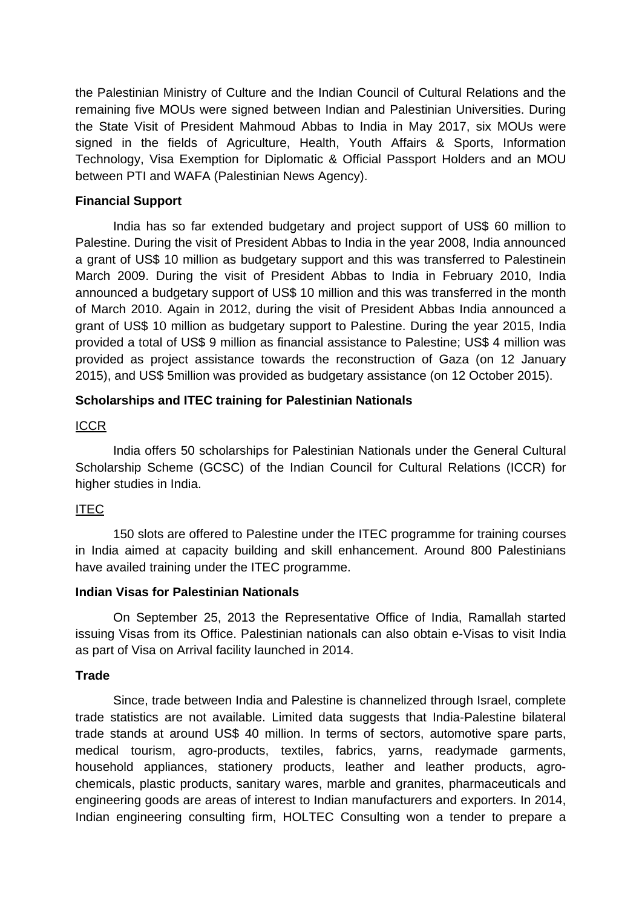the Palestinian Ministry of Culture and the Indian Council of Cultural Relations and the remaining five MOUs were signed between Indian and Palestinian Universities. During the State Visit of President Mahmoud Abbas to India in May 2017, six MOUs were signed in the fields of Agriculture, Health, Youth Affairs & Sports, Information Technology, Visa Exemption for Diplomatic & Official Passport Holders and an MOU between PTI and WAFA (Palestinian News Agency).

### **Financial Support**

India has so far extended budgetary and project support of US\$ 60 million to Palestine. During the visit of President Abbas to India in the year 2008, India announced a grant of US\$ 10 million as budgetary support and this was transferred to Palestinein March 2009. During the visit of President Abbas to India in February 2010, India announced a budgetary support of US\$ 10 million and this was transferred in the month of March 2010. Again in 2012, during the visit of President Abbas India announced a grant of US\$ 10 million as budgetary support to Palestine. During the year 2015, India provided a total of US\$ 9 million as financial assistance to Palestine; US\$ 4 million was provided as project assistance towards the reconstruction of Gaza (on 12 January 2015), and US\$ 5million was provided as budgetary assistance (on 12 October 2015).

## **Scholarships and ITEC training for Palestinian Nationals**

## **ICCR**

India offers 50 scholarships for Palestinian Nationals under the General Cultural Scholarship Scheme (GCSC) of the Indian Council for Cultural Relations (ICCR) for higher studies in India.

# ITEC

150 slots are offered to Palestine under the ITEC programme for training courses in India aimed at capacity building and skill enhancement. Around 800 Palestinians have availed training under the ITEC programme.

### **Indian Visas for Palestinian Nationals**

On September 25, 2013 the Representative Office of India, Ramallah started issuing Visas from its Office. Palestinian nationals can also obtain e-Visas to visit India as part of Visa on Arrival facility launched in 2014.

### **Trade**

Since, trade between India and Palestine is channelized through Israel, complete trade statistics are not available. Limited data suggests that India-Palestine bilateral trade stands at around US\$ 40 million. In terms of sectors, automotive spare parts, medical tourism, agro-products, textiles, fabrics, yarns, readymade garments, household appliances, stationery products, leather and leather products, agrochemicals, plastic products, sanitary wares, marble and granites, pharmaceuticals and engineering goods are areas of interest to Indian manufacturers and exporters. In 2014, Indian engineering consulting firm, HOLTEC Consulting won a tender to prepare a